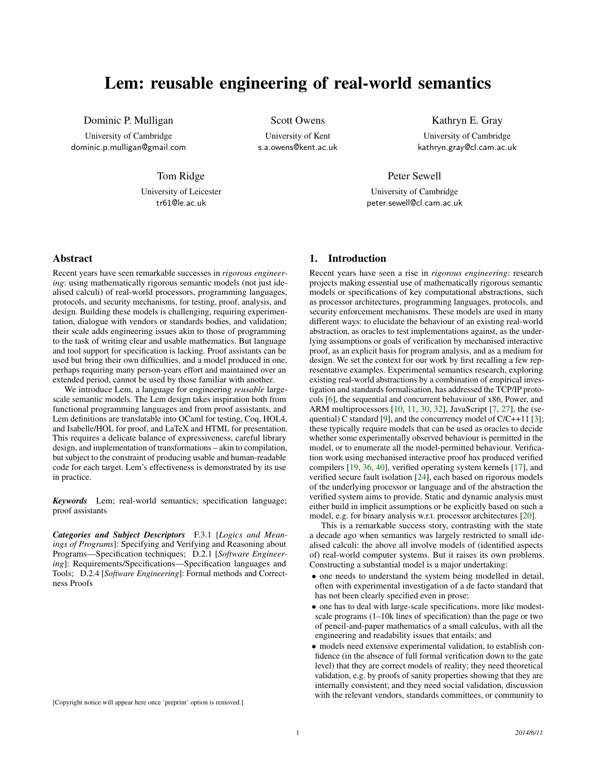# Lem: reusable engineering of real-world semantics

Dominic P. Mulligan

University of Cambridge dominic.p.mulligan@gmail.com Scott Owens

University of Kent s.a.owens@kent.ac.uk

Kathryn E. Gray University of Cambridge kathryn.gray@cl.cam.ac.uk

Tom Ridge

University of Leicester tr61@le.ac.uk

# Abstract

Recent years have seen remarkable successes in *rigorous engineering*: using mathematically rigorous semantic models (not just idealised calculi) of real-world processors, programming languages, protocols, and security mechanisms, for testing, proof, analysis, and design. Building these models is challenging, requiring experimentation, dialogue with vendors or standards bodies, and validation; their scale adds engineering issues akin to those of programming to the task of writing clear and usable mathematics. But language and tool support for specification is lacking. Proof assistants can be used but bring their own difficulties, and a model produced in one, perhaps requiring many person-years effort and maintained over an extended period, cannot be used by those familiar with another.

We introduce Lem, a language for engineering *reusable* largescale semantic models. The Lem design takes inspiration both from functional programming languages and from proof assistants, and Lem definitions are translatable into OCaml for testing, Coq, HOL4, and Isabelle/HOL for proof, and LaTeX and HTML for presentation. This requires a delicate balance of expressiveness, careful library design, and implementation of transformations – akin to compilation, but subject to the constraint of producing usable and human-readable code for each target. Lem's effectiveness is demonstrated by its use in practice.

*Keywords* Lem; real-world semantics; specification language; proof assistants

*Categories and Subject Descriptors* F.3.1 [*Logics and Meanings of Programs*]: Specifying and Verifying and Reasoning about Programs—Specification techniques; D.2.1 [*Software Engineering*]: Requirements/Specifications—Specification languages and Tools; D.2.4 [*Software Engineering*]: Formal methods and Correctness Proofs

# 1. Introduction

Recent years have seen a rise in *rigorous engineering*: research projects making essential use of mathematically rigorous semantic models or specifications of key computational abstractions, such as processor architectures, programming languages, protocols, and security enforcement mechanisms. These models are used in many different ways: to elucidate the behaviour of an existing real-world abstraction, as oracles to test implementations against, as the underlying assumptions or goals of verification by mechanised interactive proof, as an explicit basis for program analysis, and as a medium for design. We set the context for our work by first recalling a few representative examples. Experimental semantics research, exploring existing real-world abstractions by a combination of empirical investigation and standards formalisation, has addressed the TCP/IP protocols [\[6\]](#page-12-0), the sequential and concurrent behaviour of x86, Power, and ARM multiprocessors [\[10,](#page-13-0) [11,](#page-13-1) [30,](#page-13-2) [32\]](#page-13-3), JavaScript [\[7,](#page-12-1) [27\]](#page-13-4), the (sequential) C standard [\[9\]](#page-12-2), and the concurrency model of C/C++11 [\[3\]](#page-12-3); these typically require models that can be used as oracles to decide whether some experimentally observed behaviour is permitted in the model, or to enumerate all the model-permitted behaviour. Verification work using mechanised interactive proof has produced verified compilers [\[19,](#page-13-5) [36,](#page-13-6) [40\]](#page-13-7), verified operating system kernels [\[17\]](#page-13-8), and verified secure fault isolation [\[24\]](#page-13-9), each based on rigorous models of the underlying processor or language and of the abstraction the verified system aims to provide. Static and dynamic analysis must either build in implicit assumptions or be explicitly based on such a model, e.g. for binary analysis w.r.t. processor architectures [\[20\]](#page-13-10).

Peter Sewell University of Cambridge peter.sewell@cl.cam.ac.uk

This is a remarkable success story, contrasting with the state a decade ago when semantics was largely restricted to small idealised calculi: the above all involve models of (identified aspects of) real-world computer systems. But it raises its own problems. Constructing a substantial model is a major undertaking:

- one needs to understand the system being modelled in detail, often with experimental investigation of a de facto standard that has not been clearly specified even in prose;
- one has to deal with large-scale specifications, more like modestscale programs (1–10k lines of specification) than the page or two of pencil-and-paper mathematics of a small calculus, with all the engineering and readability issues that entails; and
- models need extensive experimental validation, to establish confidence (in the absence of full formal verification down to the gate level) that they are correct models of reality; they need theoretical validation, e.g. by proofs of sanity properties showing that they are internally consistent; and they need social validation, discussion with the relevant vendors, standards committees, or community to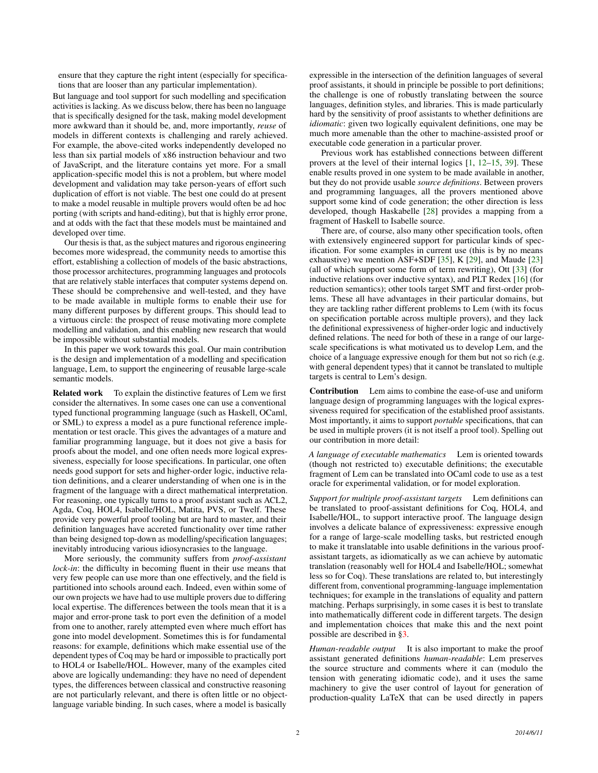ensure that they capture the right intent (especially for specifications that are looser than any particular implementation).

But language and tool support for such modelling and specification activities is lacking. As we discuss below, there has been no language that is specifically designed for the task, making model development more awkward than it should be, and, more importantly, *reuse* of models in different contexts is challenging and rarely achieved. For example, the above-cited works independently developed no less than six partial models of x86 instruction behaviour and two of JavaScript, and the literature contains yet more. For a small application-specific model this is not a problem, but where model development and validation may take person-years of effort such duplication of effort is not viable. The best one could do at present to make a model reusable in multiple provers would often be ad hoc porting (with scripts and hand-editing), but that is highly error prone, and at odds with the fact that these models must be maintained and developed over time.

Our thesis is that, as the subject matures and rigorous engineering becomes more widespread, the community needs to amortise this effort, establishing a collection of models of the basic abstractions, those processor architectures, programming languages and protocols that are relatively stable interfaces that computer systems depend on. These should be comprehensive and well-tested, and they have to be made available in multiple forms to enable their use for many different purposes by different groups. This should lead to a virtuous circle: the prospect of reuse motivating more complete modelling and validation, and this enabling new research that would be impossible without substantial models.

In this paper we work towards this goal. Our main contribution is the design and implementation of a modelling and specification language, Lem, to support the engineering of reusable large-scale semantic models.

Related work To explain the distinctive features of Lem we first consider the alternatives. In some cases one can use a conventional typed functional programming language (such as Haskell, OCaml, or SML) to express a model as a pure functional reference implementation or test oracle. This gives the advantages of a mature and familiar programming language, but it does not give a basis for proofs about the model, and one often needs more logical expressiveness, especially for loose specifications. In particular, one often needs good support for sets and higher-order logic, inductive relation definitions, and a clearer understanding of when one is in the fragment of the language with a direct mathematical interpretation. For reasoning, one typically turns to a proof assistant such as ACL2, Agda, Coq, HOL4, Isabelle/HOL, Matita, PVS, or Twelf. These provide very powerful proof tooling but are hard to master, and their definition languages have accreted functionality over time rather than being designed top-down as modelling/specification languages; inevitably introducing various idiosyncrasies to the language.

More seriously, the community suffers from *proof-assistant lock-in*: the difficulty in becoming fluent in their use means that very few people can use more than one effectively, and the field is partitioned into schools around each. Indeed, even within some of our own projects we have had to use multiple provers due to differing local expertise. The differences between the tools mean that it is a major and error-prone task to port even the definition of a model from one to another, rarely attempted even where much effort has gone into model development. Sometimes this is for fundamental reasons: for example, definitions which make essential use of the dependent types of Coq may be hard or impossible to practically port to HOL4 or Isabelle/HOL. However, many of the examples cited above are logically undemanding: they have no need of dependent types, the differences between classical and constructive reasoning are not particularly relevant, and there is often little or no objectlanguage variable binding. In such cases, where a model is basically expressible in the intersection of the definition languages of several proof assistants, it should in principle be possible to port definitions; the challenge is one of robustly translating between the source languages, definition styles, and libraries. This is made particularly hard by the sensitivity of proof assistants to whether definitions are *idiomatic*: given two logically equivalent definitions, one may be much more amenable than the other to machine-assisted proof or executable code generation in a particular prover.

Previous work has established connections between different provers at the level of their internal logics [\[1,](#page-12-4) [12](#page-13-11)[–15,](#page-13-12) [39\]](#page-13-13). These enable results proved in one system to be made available in another, but they do not provide usable *source definitions*. Between provers and programming languages, all the provers mentioned above support some kind of code generation; the other direction is less developed, though Haskabelle [\[28\]](#page-13-14) provides a mapping from a fragment of Haskell to Isabelle source.

There are, of course, also many other specification tools, often with extensively engineered support for particular kinds of specification. For some examples in current use (this is by no means exhaustive) we mention ASF+SDF [\[35\]](#page-13-15), K [\[29\]](#page-13-16), and Maude [\[23\]](#page-13-17) (all of which support some form of term rewriting), Ott [\[33\]](#page-13-18) (for inductive relations over inductive syntax), and PLT Redex [\[16\]](#page-13-19) (for reduction semantics); other tools target SMT and first-order problems. These all have advantages in their particular domains, but they are tackling rather different problems to Lem (with its focus on specification portable across multiple provers), and they lack the definitional expressiveness of higher-order logic and inductively defined relations. The need for both of these in a range of our largescale specifications is what motivated us to develop Lem, and the choice of a language expressive enough for them but not so rich (e.g. with general dependent types) that it cannot be translated to multiple targets is central to Lem's design.

Contribution Lem aims to combine the ease-of-use and uniform language design of programming languages with the logical expressiveness required for specification of the established proof assistants. Most importantly, it aims to support *portable* specifications, that can be used in multiple provers (it is not itself a proof tool). Spelling out our contribution in more detail:

*A language of executable mathematics* Lem is oriented towards (though not restricted to) executable definitions; the executable fragment of Lem can be translated into OCaml code to use as a test oracle for experimental validation, or for model exploration.

*Support for multiple proof-assistant targets* Lem definitions can be translated to proof-assistant definitions for Coq, HOL4, and Isabelle/HOL, to support interactive proof. The language design involves a delicate balance of expressiveness: expressive enough for a range of large-scale modelling tasks, but restricted enough to make it translatable into usable definitions in the various proofassistant targets, as idiomatically as we can achieve by automatic translation (reasonably well for HOL4 and Isabelle/HOL; somewhat less so for Coq). These translations are related to, but interestingly different from, conventional programming-language implementation techniques; for example in the translations of equality and pattern matching. Perhaps surprisingly, in some cases it is best to translate into mathematically different code in different targets. The design and implementation choices that make this and the next point possible are described in [§3.](#page-3-0)

*Human-readable output* It is also important to make the proof assistant generated definitions *human-readable*: Lem preserves the source structure and comments where it can (modulo the tension with generating idiomatic code), and it uses the same machinery to give the user control of layout for generation of production-quality LaTeX that can be used directly in papers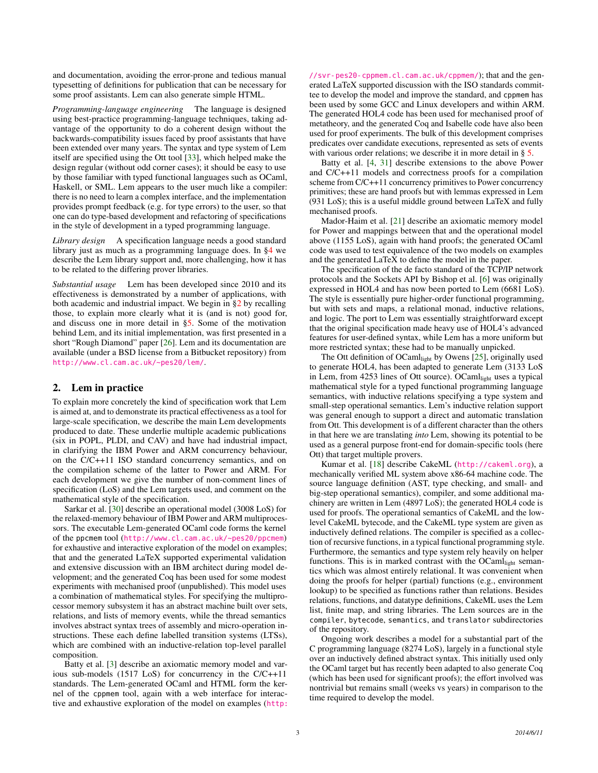and documentation, avoiding the error-prone and tedious manual typesetting of definitions for publication that can be necessary for some proof assistants. Lem can also generate simple HTML.

*Programming-language engineering* The language is designed using best-practice programming-language techniques, taking advantage of the opportunity to do a coherent design without the backwards-compatibility issues faced by proof assistants that have been extended over many years. The syntax and type system of Lem itself are specified using the Ott tool [\[33\]](#page-13-18), which helped make the design regular (without odd corner cases); it should be easy to use by those familiar with typed functional languages such as OCaml, Haskell, or SML. Lem appears to the user much like a compiler: there is no need to learn a complex interface, and the implementation provides prompt feedback (e.g. for type errors) to the user, so that one can do type-based development and refactoring of specifications in the style of development in a typed programming language.

*Library design* A specification language needs a good standard library just as much as a programming language does. In [§4](#page-10-0) we describe the Lem library support and, more challenging, how it has to be related to the differing prover libraries.

*Substantial usage* Lem has been developed since 2010 and its effectiveness is demonstrated by a number of applications, with both academic and industrial impact. We begin in [§2](#page-2-0) by recalling those, to explain more clearly what it is (and is not) good for, and discuss one in more detail in [§5.](#page-11-0) Some of the motivation behind Lem, and its initial implementation, was first presented in a short "Rough Diamond" paper [\[26\]](#page-13-20). Lem and its documentation are available (under a BSD license from a Bitbucket repository) from <http://www.cl.cam.ac.uk/~pes20/lem/>.

# <span id="page-2-0"></span>2. Lem in practice

To explain more concretely the kind of specification work that Lem is aimed at, and to demonstrate its practical effectiveness as a tool for large-scale specification, we describe the main Lem developments produced to date. These underlie multiple academic publications (six in POPL, PLDI, and CAV) and have had industrial impact, in clarifying the IBM Power and ARM concurrency behaviour, on the C/C++11 ISO standard concurrency semantics, and on the compilation scheme of the latter to Power and ARM. For each development we give the number of non-comment lines of specification (LoS) and the Lem targets used, and comment on the mathematical style of the specification.

Sarkar et al. [\[30\]](#page-13-2) describe an operational model (3008 LoS) for the relaxed-memory behaviour of IBM Power and ARM multiprocessors. The executable Lem-generated OCaml code forms the kernel of the ppcmem tool (<http://www.cl.cam.ac.uk/~pes20/ppcmem>) for exhaustive and interactive exploration of the model on examples; that and the generated LaTeX supported experimental validation and extensive discussion with an IBM architect during model development; and the generated Coq has been used for some modest experiments with mechanised proof (unpublished). This model uses a combination of mathematical styles. For specifying the multiprocessor memory subsystem it has an abstract machine built over sets, relations, and lists of memory events, while the thread semantics involves abstract syntax trees of assembly and micro-operation instructions. These each define labelled transition systems (LTSs), which are combined with an inductive-relation top-level parallel composition.

Batty et al. [\[3\]](#page-12-3) describe an axiomatic memory model and various sub-models (1517 LoS) for concurrency in the C/C++11 standards. The Lem-generated OCaml and HTML form the kernel of the cppmem tool, again with a web interface for interactive and exhaustive exploration of the model on examples ([http:](http://svr-pes20-cppmem.cl.cam.ac.uk/cppmem/) [//svr-pes20-cppmem.cl.cam.ac.uk/cppmem/](http://svr-pes20-cppmem.cl.cam.ac.uk/cppmem/)); that and the generated LaTeX supported discussion with the ISO standards committee to develop the model and improve the standard, and cppmem has been used by some GCC and Linux developers and within ARM. The generated HOL4 code has been used for mechanised proof of metatheory, and the generated Coq and Isabelle code have also been used for proof experiments. The bulk of this development comprises predicates over candidate executions, represented as sets of events with various order relations; we describe it in more detail in § [5.](#page-11-0)

Batty et al. [\[4,](#page-12-5) [31\]](#page-13-21) describe extensions to the above Power and C/C++11 models and correctness proofs for a compilation scheme from C/C++11 concurrency primitives to Power concurrency primitives; these are hand proofs but with lemmas expressed in Lem (931 LoS); this is a useful middle ground between LaTeX and fully mechanised proofs.

Mador-Haim et al. [\[21\]](#page-13-22) describe an axiomatic memory model for Power and mappings between that and the operational model above (1155 LoS), again with hand proofs; the generated OCaml code was used to test equivalence of the two models on examples and the generated LaTeX to define the model in the paper.

The specification of the de facto standard of the TCP/IP network protocols and the Sockets API by Bishop et al. [\[6\]](#page-12-0) was originally expressed in HOL4 and has now been ported to Lem (6681 LoS). The style is essentially pure higher-order functional programming, but with sets and maps, a relational monad, inductive relations, and logic. The port to Lem was essentially straightforward except that the original specification made heavy use of HOL4's advanced features for user-defined syntax, while Lem has a more uniform but more restricted syntax; these had to be manually unpicked.

The Ott definition of OCaml<sub>light</sub> by Owens [\[25\]](#page-13-23), originally used to generate HOL4, has been adapted to generate Lem (3133 LoS in Lem, from 4253 lines of Ott source). OCaml<sub>light</sub> uses a typical mathematical style for a typed functional programming language semantics, with inductive relations specifying a type system and small-step operational semantics. Lem's inductive relation support was general enough to support a direct and automatic translation from Ott. This development is of a different character than the others in that here we are translating *into* Lem, showing its potential to be used as a general purpose front-end for domain-specific tools (here Ott) that target multiple provers.

Kumar et al. [\[18\]](#page-13-24) describe CakeML (<http://cakeml.org>), a mechanically verified ML system above x86-64 machine code. The source language definition (AST, type checking, and small- and big-step operational semantics), compiler, and some additional machinery are written in Lem (4897 LoS); the generated HOL4 code is used for proofs. The operational semantics of CakeML and the lowlevel CakeML bytecode, and the CakeML type system are given as inductively defined relations. The compiler is specified as a collection of recursive functions, in a typical functional programming style. Furthermore, the semantics and type system rely heavily on helper functions. This is in marked contrast with the OCaml<sub>light</sub> semantics which was almost entirely relational. It was convenient when doing the proofs for helper (partial) functions (e.g., environment lookup) to be specified as functions rather than relations. Besides relations, functions, and datatype definitions, CakeML uses the Lem list, finite map, and string libraries. The Lem sources are in the compiler, bytecode, semantics, and translator subdirectories of the repository.

Ongoing work describes a model for a substantial part of the C programming language (8274 LoS), largely in a functional style over an inductively defined abstract syntax. This initially used only the OCaml target but has recently been adapted to also generate Coq (which has been used for significant proofs); the effort involved was nontrivial but remains small (weeks vs years) in comparison to the time required to develop the model.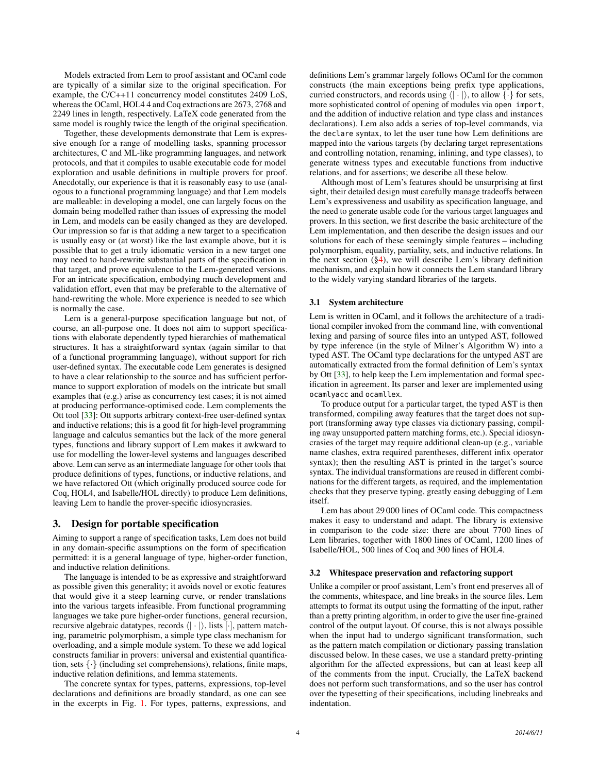Models extracted from Lem to proof assistant and OCaml code are typically of a similar size to the original specification. For example, the C/C++11 concurrency model constitutes 2409 LoS, whereas the OCaml, HOL4 4 and Coq extractions are 2673, 2768 and 2249 lines in length, respectively. LaTeX code generated from the same model is roughly twice the length of the original specification.

Together, these developments demonstrate that Lem is expressive enough for a range of modelling tasks, spanning processor architectures, C and ML-like programming languages, and network protocols, and that it compiles to usable executable code for model exploration and usable definitions in multiple provers for proof. Anecdotally, our experience is that it is reasonably easy to use (analogous to a functional programming language) and that Lem models are malleable: in developing a model, one can largely focus on the domain being modelled rather than issues of expressing the model in Lem, and models can be easily changed as they are developed. Our impression so far is that adding a new target to a specification is usually easy or (at worst) like the last example above, but it is possible that to get a truly idiomatic version in a new target one may need to hand-rewrite substantial parts of the specification in that target, and prove equivalence to the Lem-generated versions. For an intricate specification, embodying much development and validation effort, even that may be preferable to the alternative of hand-rewriting the whole. More experience is needed to see which is normally the case.

Lem is a general-purpose specification language but not, of course, an all-purpose one. It does not aim to support specifications with elaborate dependently typed hierarchies of mathematical structures. It has a straightforward syntax (again similar to that of a functional programming language), without support for rich user-defined syntax. The executable code Lem generates is designed to have a clear relationship to the source and has sufficient performance to support exploration of models on the intricate but small examples that (e.g.) arise as concurrency test cases; it is not aimed at producing performance-optimised code. Lem complements the Ott tool [\[33\]](#page-13-18): Ott supports arbitrary context-free user-defined syntax and inductive relations; this is a good fit for high-level programming language and calculus semantics but the lack of the more general types, functions and library support of Lem makes it awkward to use for modelling the lower-level systems and languages described above. Lem can serve as an intermediate language for other tools that produce definitions of types, functions, or inductive relations, and we have refactored Ott (which originally produced source code for Coq, HOL4, and Isabelle/HOL directly) to produce Lem definitions, leaving Lem to handle the prover-specific idiosyncrasies.

# <span id="page-3-0"></span>3. Design for portable specification

Aiming to support a range of specification tasks, Lem does not build in any domain-specific assumptions on the form of specification permitted: it is a general language of type, higher-order function, and inductive relation definitions.

The language is intended to be as expressive and straightforward as possible given this generality; it avoids novel or exotic features that would give it a steep learning curve, or render translations into the various targets infeasible. From functional programming languages we take pure higher-order functions, general recursion, recursive algebraic datatypes, records  $\langle | \cdot | \rangle$ , lists  $[i]$ , pattern matching, parametric polymorphism, a simple type class mechanism for overloading, and a simple module system. To these we add logical constructs familiar in provers: universal and existential quantification, sets {·} (including set comprehensions), relations, finite maps, inductive relation definitions, and lemma statements.

The concrete syntax for types, patterns, expressions, top-level declarations and definitions are broadly standard, as one can see in the excerpts in Fig. [1.](#page-4-0) For types, patterns, expressions, and definitions Lem's grammar largely follows OCaml for the common constructs (the main exceptions being prefix type applications, curried constructors, and records using  $\langle \cdot | \cdot \rangle$ , to allow  $\{\cdot\}$  for sets, more sophisticated control of opening of modules via open import, and the addition of inductive relation and type class and instances declarations). Lem also adds a series of top-level commands, via the declare syntax, to let the user tune how Lem definitions are mapped into the various targets (by declaring target representations and controlling notation, renaming, inlining, and type classes), to generate witness types and executable functions from inductive relations, and for assertions; we describe all these below.

Although most of Lem's features should be unsurprising at first sight, their detailed design must carefully manage tradeoffs between Lem's expressiveness and usability as specification language, and the need to generate usable code for the various target languages and provers. In this section, we first describe the basic architecture of the Lem implementation, and then describe the design issues and our solutions for each of these seemingly simple features – including polymorphism, equality, partiality, sets, and inductive relations. In the next section  $(\S 4)$ , we will describe Lem's library definition mechanism, and explain how it connects the Lem standard library to the widely varying standard libraries of the targets.

### 3.1 System architecture

Lem is written in OCaml, and it follows the architecture of a traditional compiler invoked from the command line, with conventional lexing and parsing of source files into an untyped AST, followed by type inference (in the style of Milner's Algorithm W) into a typed AST. The OCaml type declarations for the untyped AST are automatically extracted from the formal definition of Lem's syntax by Ott [\[33\]](#page-13-18), to help keep the Lem implementation and formal specification in agreement. Its parser and lexer are implemented using ocamlyacc and ocamllex.

To produce output for a particular target, the typed AST is then transformed, compiling away features that the target does not support (transforming away type classes via dictionary passing, compiling away unsupported pattern matching forms, etc.). Special idiosyncrasies of the target may require additional clean-up (e.g., variable name clashes, extra required parentheses, different infix operator syntax); then the resulting AST is printed in the target's source syntax. The individual transformations are reused in different combinations for the different targets, as required, and the implementation checks that they preserve typing, greatly easing debugging of Lem itself.

Lem has about 29 000 lines of OCaml code. This compactness makes it easy to understand and adapt. The library is extensive in comparison to the code size: there are about 7700 lines of Lem libraries, together with 1800 lines of OCaml, 1200 lines of Isabelle/HOL, 500 lines of Coq and 300 lines of HOL4.

### 3.2 Whitespace preservation and refactoring support

Unlike a compiler or proof assistant, Lem's front end preserves all of the comments, whitespace, and line breaks in the source files. Lem attempts to format its output using the formatting of the input, rather than a pretty printing algorithm, in order to give the user fine-grained control of the output layout. Of course, this is not always possible when the input had to undergo significant transformation, such as the pattern match compilation or dictionary passing translation discussed below. In these cases, we use a standard pretty-printing algorithm for the affected expressions, but can at least keep all of the comments from the input. Crucially, the LaTeX backend does not perform such transformations, and so the user has control over the typesetting of their specifications, including linebreaks and indentation.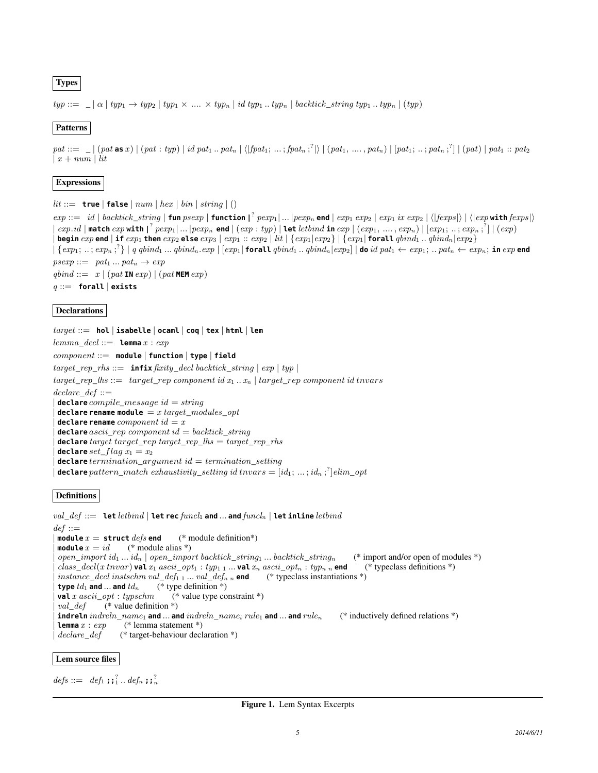# Types

 $typ ::= \Box \alpha \mid typ_1 \rightarrow typ_2 \mid typ_1 \times ... \times typ_n \mid id \; typ_1 \ldots typ_n \mid backtick\_string \; typ_1 \ldots typ_n \mid (typ)$ 

# Patterns

pat ::= \_ | (pat **as** x ) | (pat : typ) | id pat<sup>1</sup> .. pat<sup>n</sup> | h|fpat1; ... ; fpat<sup>n</sup> ; ? |i | (pat1, .... , pat<sup>n</sup> ) | [pat1; .. ; pat<sup>n</sup> ; ? ] | (pat) | pat<sup>1</sup> :: pat<sup>2</sup>  $\mid x + num \mid lit$ 

# **Expressions**

 $lit ::=$  **true** | **false** |  $num \mid hex \mid bin \mid string \mid ()$ 

```
exp ::= \text{ id } | \text{ backtick\_string } | \text{ fun } psexp \mid \text{function } |^2 \text{ } pexp_1 | \dots | pexp_n \text{ end } | \text{ } exp_1 \text{ } exp_2 \mid exp_1 \text{ ix } exp_2 \mid \langle |fexps| \rangle | \langle |exp \text{ with } fexps| \rangle\mid exp.id \mid \textsf{match}\ exp with \mid^? \ pexp_1 | \dots | pexp_n end \mid (exp: typ) \mid let \mathit{letbind} in exp \mid (exp_1, \dots, exp_n) \mid [exp_1; \dots; exp_n; ^?] \mid (exp)\mathbf{begin} \mathbf{begin} \mathbf{begin} \mathbf{begin} \mathbf{begin} \mathbf{line} \mathbf{line} \mathbf{line} \mathbf{line} \mathbf{line} \mathbf{line} \mathbf{line} \mathbf{line} \mathbf{line} \mathbf{line} \mathbf{line} \mathbf{line} \mathbf{line} \mathbf{line} \mathbf{line} \mathbf{line} \mathbf{line} \mathbf{line} \mathbf{line} \mathbf{line} \mathbf{line} \mathbf{line} \mathbf{line} \mathbf{line} \mathbf{line} \mathbf{line} \mathbf{line} \mathbf{line} \mathbf{line} \mathbf{line} \mathbf{line} \mathbf{\left[\{ \exp_{1}; \ldots; \exp_{n} \}^{?}\right] | q qbind<sub>1</sub> ... qbind<sub>n</sub> .exp | [exp<sub>1</sub>| forall qbind<sub>1</sub> ... qbind<sub>n</sub> |exp<sub>2</sub>| | do id pat<sub>1</sub> \leftarrow \exp_{1}; ... pat<sub>n</sub> \leftarrow \exp_{n}; in exp end
psexp ::= pat_1 ... pat_n \rightarrow expqbind ::= x \mid (pat \, \textbf{IN} \, exp) \mid (pat \, \textbf{MEM} \, exp)q ::= forall | exists
```
# **Declarations**

target ::= **hol** | **isabelle** | **ocaml** | **coq** | **tex** | **html** | **lem**  $lemma\, decl ::=$  **lemma**  $x : exp$ component ::= **module** | **function** | **type** | **field**  $target\_rep\_rhs ::=$  **infix** fixity\_decl backtick\_string  $\vert exp \vert typ \vert$  $target\_rep\_llhs ::= target\_rep$  component id  $x_1 \ldots x_n \mid target\_rep$  component id tnvars  $\text{declare\_def} ::=$ | **declare** compile\_message id = string  $\text{dec}$ lare rename module = x target\_modules\_opt  $\textbf{dec}$ **lare rename** component  $id = x$  $\textbf{dec}$ **lare** ascii\_rep component id = backtick\_string | **declare** target target\_rep target\_rep\_lhs = target\_rep\_rhs **declare**  $set_{flag} x_1 = x_2$ | **declare** termination\_argument id = termination\_setting  $\vert$  **declare** pattern\_match exhaustivity\_setting id tnvars =  $\left[ id_1; ...; id_n; \right]^2 \vert$  elim\_opt

# Definitions

```
val\text{ def} ::= \text{ let } letbind \mid \text{Let } \text{rec } funcl_1 \text{ and } ... \text{ and } funcl_n \mid \text{ let } \text{inLine } letbinddef ::=\text{module } x = \text{struct } defs \text{ end} (* module definition*)
 \text{module } x = id \quad (* \text{ module alias } *)open_import id<sub>1</sub> ... id<sub>n</sub> | open_import backtick_string<sub>1</sub> ... backtick_string<sub>n</sub> (* import and/or open of modules *)<br>class decl(x tnvar) val x<sub>1</sub> ascii opt<sub>1</sub> : typ<sub>1</sub> 1... val x<sub>n</sub> ascii opt<sub>n</sub> : typ<sub>n</sub><sub>n</sub> end (* 
 class\_decl(x\,thvar) val x_1 ascii\_opt_1 : typ_{1} ... val x_n ascii\_opt_n : typ_{n} a end
 instance\_decl\,instantum\,val\_def_{1,1}... \,val\_def_{n,n} end (* typeclass instantiations *)
 type td_1 and ... and td_n (* type definition *)<br>val x ascii_opt : typschm (* value type constraint *)
 {\bf val} \; x \; ascii\_opt : typeschm<br>
val\_def (*) value definition
                       (* value definition *)\mathbf{in} indreln \mathit{indreln\_name_1} and \mathit{...} and \mathit{indreln\_name_i} rule<sub>1</sub> and \mathit{...} and \mathit{rule_n} (* inductively defined relations *)
 Lemma x : exp (* lemma statement *)<br>
\text{declare} \quad \text{def} (* target-behaviour decl
                               (* target-behaviour declaration *)
```
Lem source files

<span id="page-4-0"></span> $\textit{defs} ::= \textit{def}_1; \text{if}_1 \text{...} \textit{def}_n; \text{if}_n$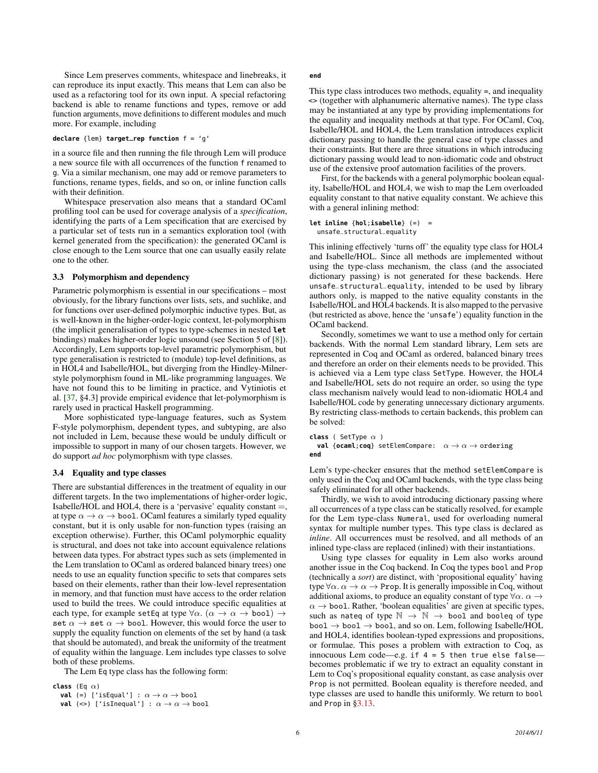Since Lem preserves comments, whitespace and linebreaks, it can reproduce its input exactly. This means that Lem can also be used as a refactoring tool for its own input. A special refactoring backend is able to rename functions and types, remove or add function arguments, move definitions to different modules and much more. For example, including

#### **declare** {lem} **target\_rep function** f = 'g'

in a source file and then running the file through Lem will produce a new source file with all occurrences of the function f renamed to g. Via a similar mechanism, one may add or remove parameters to functions, rename types, fields, and so on, or inline function calls with their definition.

Whitespace preservation also means that a standard OCaml profiling tool can be used for coverage analysis of a *specification*, identifying the parts of a Lem specification that are exercised by a particular set of tests run in a semantics exploration tool (with kernel generated from the specification): the generated OCaml is close enough to the Lem source that one can usually easily relate one to the other.

# 3.3 Polymorphism and dependency

Parametric polymorphism is essential in our specifications – most obviously, for the library functions over lists, sets, and suchlike, and for functions over user-defined polymorphic inductive types. But, as is well-known in the higher-order-logic context, let-polymorphism (the implicit generalisation of types to type-schemes in nested **let** bindings) makes higher-order logic unsound (see Section 5 of [\[8\]](#page-12-6)). Accordingly, Lem supports top-level parametric polymorphism, but type generalisation is restricted to (module) top-level definitions, as in HOL4 and Isabelle/HOL, but diverging from the Hindley-Milnerstyle polymorphism found in ML-like programming languages. We have not found this to be limiting in practice, and Vytiniotis et al. [\[37,](#page-13-25) §4.3] provide empirical evidence that let-polymorphism is rarely used in practical Haskell programming.

More sophisticated type-language features, such as System F-style polymorphism, dependent types, and subtyping, are also not included in Lem, because these would be unduly difficult or impossible to support in many of our chosen targets. However, we do support *ad hoc* polymorphism with type classes.

#### 3.4 Equality and type classes

There are substantial differences in the treatment of equality in our different targets. In the two implementations of higher-order logic, Isabelle/HOL and HOL4, there is a 'pervasive' equality constant =, at type  $\alpha \to \alpha \to$  bool. OCaml features a similarly typed equality constant, but it is only usable for non-function types (raising an exception otherwise). Further, this OCaml polymorphic equality is structural, and does not take into account equivalence relations between data types. For abstract types such as sets (implemented in the Lem translation to OCaml as ordered balanced binary trees) one needs to use an equality function specific to sets that compares sets based on their elements, rather than their low-level representation in memory, and that function must have access to the order relation used to build the trees. We could introduce specific equalities at each type, for example setEq at type  $\forall \alpha$ .  $(\alpha \rightarrow \alpha \rightarrow \text{bool}) \rightarrow$ set  $\alpha \to \texttt{set} \alpha \to \texttt{bool}$ . However, this would force the user to supply the equality function on elements of the set by hand (a task that should be automated), and break the uniformity of the treatment of equality within the language. Lem includes type classes to solve both of these problems.

The Lem Eq type class has the following form:

**class** (Eq  $\alpha$ )

**val** (=) ['isEqual'] :  $\alpha \rightarrow \alpha \rightarrow$  bool

```
val (\le) ['isInequal'] : \alpha \to \alpha \tobool
```
**end**

This type class introduces two methods, equality =, and inequality <> (together with alphanumeric alternative names). The type class may be instantiated at any type by providing implementations for the equality and inequality methods at that type. For OCaml, Coq, Isabelle/HOL and HOL4, the Lem translation introduces explicit dictionary passing to handle the general case of type classes and their constraints. But there are three situations in which introducing dictionary passing would lead to non-idiomatic code and obstruct use of the extensive proof automation facilities of the provers.

First, for the backends with a general polymorphic boolean equality, Isabelle/HOL and HOL4, we wish to map the Lem overloaded equality constant to that native equality constant. We achieve this with a general inlining method:

```
let inline {hol;isabelle} (=) =
  unsafe_structural_equality
```
This inlining effectively 'turns off' the equality type class for HOL4 and Isabelle/HOL. Since all methods are implemented without using the type-class mechanism, the class (and the associated dictionary passing) is not generated for these backends. Here unsafe\_structural\_equality, intended to be used by library authors only, is mapped to the native equality constants in the Isabelle/HOL and HOL4 backends. It is also mapped to the pervasive (but restricted as above, hence the 'unsafe') equality function in the OCaml backend.

Secondly, sometimes we want to use a method only for certain backends. With the normal Lem standard library, Lem sets are represented in Coq and OCaml as ordered, balanced binary trees and therefore an order on their elements needs to be provided. This is achieved via a Lem type class SetType. However, the HOL4 and Isabelle/HOL sets do not require an order, so using the type class mechanism naïvely would lead to non-idiomatic HOL4 and Isabelle/HOL code by generating unnecessary dictionary arguments. By restricting class-methods to certain backends, this problem can be solved:

```
class ( SetType α )
 val {ocaml;coq} setElemCompare: α → α → ordering
end
```
Lem's type-checker ensures that the method setElemCompare is only used in the Coq and OCaml backends, with the type class being safely eliminated for all other backends.

Thirdly, we wish to avoid introducing dictionary passing where all occurrences of a type class can be statically resolved, for example for the Lem type-class Numeral, used for overloading numeral syntax for multiple number types. This type class is declared as *inline*. All occurrences must be resolved, and all methods of an inlined type-class are replaced (inlined) with their instantiations.

Using type classes for equality in Lem also works around another issue in the Coq backend. In Coq the types bool and Prop (technically a *sort*) are distinct, with 'propositional equality' having type  $\forall \alpha \cdot \alpha \rightarrow \alpha \rightarrow$  Prop. It is generally impossible in Coq, without additional axioms, to produce an equality constant of type  $\forall \alpha$ .  $\alpha \rightarrow$  $\alpha \rightarrow$  bool. Rather, 'boolean equalities' are given at specific types, such as nateq of type  $\mathbb{N} \to \mathbb{N} \to$  bool and booleq of type  $bool \rightarrow bool \rightarrow bool$ , and so on. Lem, following Isabelle/HOL and HOL4, identifies boolean-typed expressions and propositions, or formulae. This poses a problem with extraction to Coq, as innocuous Lem code—e.g. if 4 = 5 then true else false becomes problematic if we try to extract an equality constant in Lem to Coq's propositional equality constant, as case analysis over Prop is not permitted. Boolean equality is therefore needed, and type classes are used to handle this uniformly. We return to bool and Prop in [§3.13.](#page-9-0)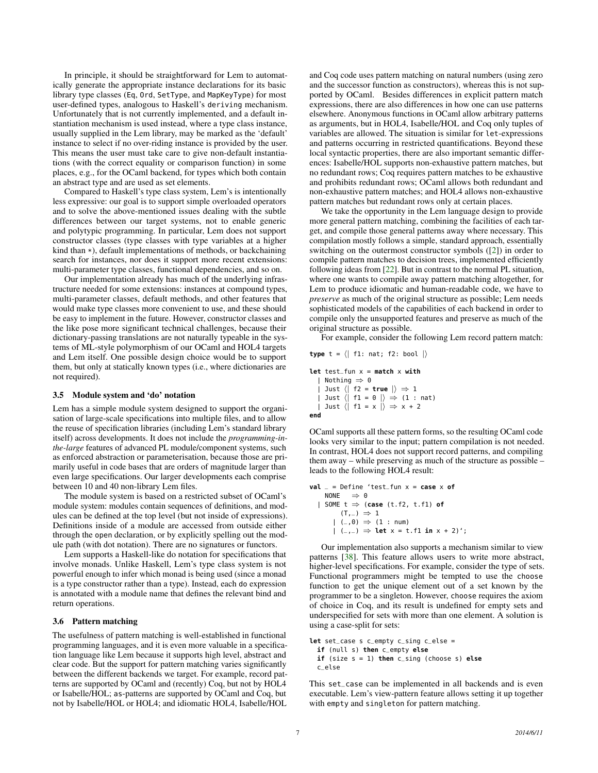In principle, it should be straightforward for Lem to automatically generate the appropriate instance declarations for its basic library type classes (Eq, Ord, SetType, and MapKeyType) for most user-defined types, analogous to Haskell's deriving mechanism. Unfortunately that is not currently implemented, and a default instantiation mechanism is used instead, where a type class instance, usually supplied in the Lem library, may be marked as the 'default' instance to select if no over-riding instance is provided by the user. This means the user must take care to give non-default instantiations (with the correct equality or comparison function) in some places, e.g., for the OCaml backend, for types which both contain an abstract type and are used as set elements.

Compared to Haskell's type class system, Lem's is intentionally less expressive: our goal is to support simple overloaded operators and to solve the above-mentioned issues dealing with the subtle differences between our target systems, not to enable generic and polytypic programming. In particular, Lem does not support constructor classes (type classes with type variables at a higher kind than \*), default implementations of methods, or backchaining search for instances, nor does it support more recent extensions: multi-parameter type classes, functional dependencies, and so on.

Our implementation already has much of the underlying infrastructure needed for some extensions: instances at compound types, multi-parameter classes, default methods, and other features that would make type classes more convenient to use, and these should be easy to implement in the future. However, constructor classes and the like pose more significant technical challenges, because their dictionary-passing translations are not naturally typeable in the systems of ML-style polymorphism of our OCaml and HOL4 targets and Lem itself. One possible design choice would be to support them, but only at statically known types (i.e., where dictionaries are not required).

#### 3.5 Module system and 'do' notation

Lem has a simple module system designed to support the organisation of large-scale specifications into multiple files, and to allow the reuse of specification libraries (including Lem's standard library itself) across developments. It does not include the *programming-inthe-large* features of advanced PL module/component systems, such as enforced abstraction or parameterisation, because those are primarily useful in code bases that are orders of magnitude larger than even large specifications. Our larger developments each comprise between 10 and 40 non-library Lem files.

The module system is based on a restricted subset of OCaml's module system: modules contain sequences of definitions, and modules can be defined at the top level (but not inside of expressions). Definitions inside of a module are accessed from outside either through the open declaration, or by explicitly spelling out the module path (with dot notation). There are no signatures or functors.

Lem supports a Haskell-like do notation for specifications that involve monads. Unlike Haskell, Lem's type class system is not powerful enough to infer which monad is being used (since a monad is a type constructor rather than a type). Instead, each do expression is annotated with a module name that defines the relevant bind and return operations.

#### 3.6 Pattern matching

The usefulness of pattern matching is well-established in functional programming languages, and it is even more valuable in a specification language like Lem because it supports high level, abstract and clear code. But the support for pattern matching varies significantly between the different backends we target. For example, record patterns are supported by OCaml and (recently) Coq, but not by HOL4 or Isabelle/HOL; as-patterns are supported by OCaml and Coq, but not by Isabelle/HOL or HOL4; and idiomatic HOL4, Isabelle/HOL and Coq code uses pattern matching on natural numbers (using zero and the successor function as constructors), whereas this is not supported by OCaml. Besides differences in explicit pattern match expressions, there are also differences in how one can use patterns elsewhere. Anonymous functions in OCaml allow arbitrary patterns as arguments, but in HOL4, Isabelle/HOL and Coq only tuples of variables are allowed. The situation is similar for let-expressions and patterns occurring in restricted quantifications. Beyond these local syntactic properties, there are also important semantic differences: Isabelle/HOL supports non-exhaustive pattern matches, but no redundant rows; Coq requires pattern matches to be exhaustive and prohibits redundant rows; OCaml allows both redundant and non-exhaustive pattern matches; and HOL4 allows non-exhaustive pattern matches but redundant rows only at certain places.

We take the opportunity in the Lem language design to provide more general pattern matching, combining the facilities of each target, and compile those general patterns away where necessary. This compilation mostly follows a simple, standard approach, essentially switching on the outermost constructor symbols ([\[2\]](#page-12-7)) in order to compile pattern matches to decision trees, implemented efficiently following ideas from [\[22\]](#page-13-26). But in contrast to the normal PL situation, where one wants to compile away pattern matching altogether, for Lem to produce idiomatic and human-readable code, we have to *preserve* as much of the original structure as possible; Lem needs sophisticated models of the capabilities of each backend in order to compile only the unsupported features and preserve as much of the original structure as possible.

For example, consider the following Lem record pattern match:

```
type t = \langle | f1: nat; f2: bool | \rangle
```

```
let test_fun x = match x with
   | Nothing ⇒ 0
     Just \langle | f2 = true | \rangle \Rightarrow 1Just \langle |f1 = 0 | \rangle \Rightarrow (1 : nat)Just \langle \mid f1 = x \mid \rangle \Rightarrow x + 2end
```
OCaml supports all these pattern forms, so the resulting OCaml code looks very similar to the input; pattern compilation is not needed. In contrast, HOL4 does not support record patterns, and compiling them away – while preserving as much of the structure as possible – leads to the following HOL4 result:

```
val _ = Define 'test_fun x = case x of
    NONE \Rightarrow 0
  | SOME t ⇒ (case (t.f2, t.f1) of
        (T_{i-}) \Rightarrow 1| (0.00) \Rightarrow (1 : num)| (_,_) ⇒ let x = t.f1 in x + 2)';
```
Our implementation also supports a mechanism similar to view patterns [\[38\]](#page-13-27). This feature allows users to write more abstract, higher-level specifications. For example, consider the type of sets. Functional programmers might be tempted to use the choose function to get the unique element out of a set known by the programmer to be a singleton. However, choose requires the axiom of choice in Coq, and its result is undefined for empty sets and underspecified for sets with more than one element. A solution is using a case-split for sets:

```
let set_case s c_empty c_sing c_else =
 if (null s) then c_empty else
 if (size s = 1) then c_sing (choose s) else
 c_else
```
This set\_case can be implemented in all backends and is even executable. Lem's view-pattern feature allows setting it up together with empty and singleton for pattern matching.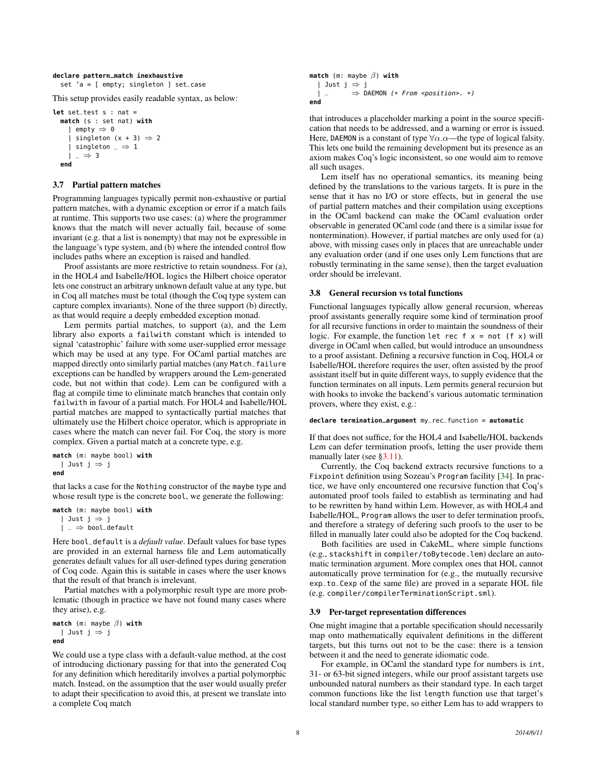#### **declare pattern\_match inexhaustive**

set 'a = [ empty; singleton ] set\_case

This setup provides easily readable syntax, as below:

```
let set_test s : nat =
  match (s : set nat) with
     | empty ⇒ 0
       singleton (x + 3) \Rightarrow 2| singleton = \Rightarrow 1
        \overline{\phantom{0}} \Rightarrow 3
  end
```
#### 3.7 Partial pattern matches

Programming languages typically permit non-exhaustive or partial pattern matches, with a dynamic exception or error if a match fails at runtime. This supports two use cases: (a) where the programmer knows that the match will never actually fail, because of some invariant (e.g. that a list is nonempty) that may not be expressible in the language's type system, and (b) where the intended control flow includes paths where an exception is raised and handled.

Proof assistants are more restrictive to retain soundness. For (a), in the HOL4 and Isabelle/HOL logics the Hilbert choice operator lets one construct an arbitrary unknown default value at any type, but in Coq all matches must be total (though the Coq type system can capture complex invariants). None of the three support (b) directly, as that would require a deeply embedded exception monad.

Lem permits partial matches, to support (a), and the Lem library also exports a failwith constant which is intended to signal 'catastrophic' failure with some user-supplied error message which may be used at any type. For OCaml partial matches are mapped directly onto similarly partial matches (any Match\_failure exceptions can be handled by wrappers around the Lem-generated code, but not within that code). Lem can be configured with a flag at compile time to eliminate match branches that contain only failwith in favour of a partial match. For HOL4 and Isabelle/HOL partial matches are mapped to syntactically partial matches that ultimately use the Hilbert choice operator, which is appropriate in cases where the match can never fail. For Coq, the story is more complex. Given a partial match at a concrete type, e.g.

```
match (m: maybe bool) with
 | Just j ⇒ j
end
```
that lacks a case for the Nothing constructor of the maybe type and whose result type is the concrete bool, we generate the following:

```
match (m: maybe bool) with
  | Just j ⇒ j
  | = \Rightarrow bool_default
```
Here bool\_default is a *default value*. Default values for base types are provided in an external harness file and Lem automatically generates default values for all user-defined types during generation of Coq code. Again this is suitable in cases where the user knows that the result of that branch is irrelevant.

Partial matches with a polymorphic result type are more problematic (though in practice we have not found many cases where they arise), e.g.

```
match (m: maybe β) with
 | Just j ⇒ j
end
```
We could use a type class with a default-value method, at the cost of introducing dictionary passing for that into the generated Coq for any definition which hereditarily involves a partial polymorphic match. Instead, on the assumption that the user would usually prefer to adapt their specification to avoid this, at present we translate into a complete Coq match

```
match (m: maybe β) with
  | Just j ⇒ j
   \Rightarrow DAEMON (* From <position>. *)
end
```
that introduces a placeholder marking a point in the source specification that needs to be addressed, and a warning or error is issued. Here, DAEMON is a constant of type  $\forall \alpha \cdot \alpha$ —the type of logical falsity. This lets one build the remaining development but its presence as an axiom makes Coq's logic inconsistent, so one would aim to remove all such usages.

Lem itself has no operational semantics, its meaning being defined by the translations to the various targets. It is pure in the sense that it has no I/O or store effects, but in general the use of partial pattern matches and their compilation using exceptions in the OCaml backend can make the OCaml evaluation order observable in generated OCaml code (and there is a similar issue for nontermination). However, if partial matches are only used for (a) above, with missing cases only in places that are unreachable under any evaluation order (and if one uses only Lem functions that are robustly terminating in the same sense), then the target evaluation order should be irrelevant.

#### 3.8 General recursion vs total functions

Functional languages typically allow general recursion, whereas proof assistants generally require some kind of termination proof for all recursive functions in order to maintain the soundness of their logic. For example, the function let rec  $f \times = \text{not} (f \times)$  will diverge in OCaml when called, but would introduce an unsoundness to a proof assistant. Defining a recursive function in Coq, HOL4 or Isabelle/HOL therefore requires the user, often assisted by the proof assistant itself but in quite different ways, to supply evidence that the function terminates on all inputs. Lem permits general recursion but with hooks to invoke the backend's various automatic termination provers, where they exist, e.g.:

#### **declare termination\_argument** my\_rec\_function = **automatic**

If that does not suffice, for the HOL4 and Isabelle/HOL backends Lem can defer termination proofs, letting the user provide them manually later (see [§3.11\)](#page-8-0).

Currently, the Coq backend extracts recursive functions to a Fixpoint definition using Sozeau's Program facility [\[34\]](#page-13-28). In practice, we have only encountered one recursive function that Coq's automated proof tools failed to establish as terminating and had to be rewritten by hand within Lem. However, as with HOL4 and Isabelle/HOL, Program allows the user to defer termination proofs, and therefore a strategy of defering such proofs to the user to be filled in manually later could also be adopted for the Coq backend.

Both facilities are used in CakeML, where simple functions (e.g., stackshift in compiler/toBytecode.lem) declare an automatic termination argument. More complex ones that HOL cannot automatically prove termination for (e.g., the mutually recursive exp\_to\_Cexp of the same file) are proved in a separate HOL file (e.g. compiler/compilerTerminationScript.sml).

#### <span id="page-7-0"></span>3.9 Per-target representation differences

One might imagine that a portable specification should necessarily map onto mathematically equivalent definitions in the different targets, but this turns out not to be the case: there is a tension between it and the need to generate idiomatic code.

For example, in OCaml the standard type for numbers is int, 31- or 63-bit signed integers, while our proof assistant targets use unbounded natural numbers as their standard type. In each target common functions like the list length function use that target's local standard number type, so either Lem has to add wrappers to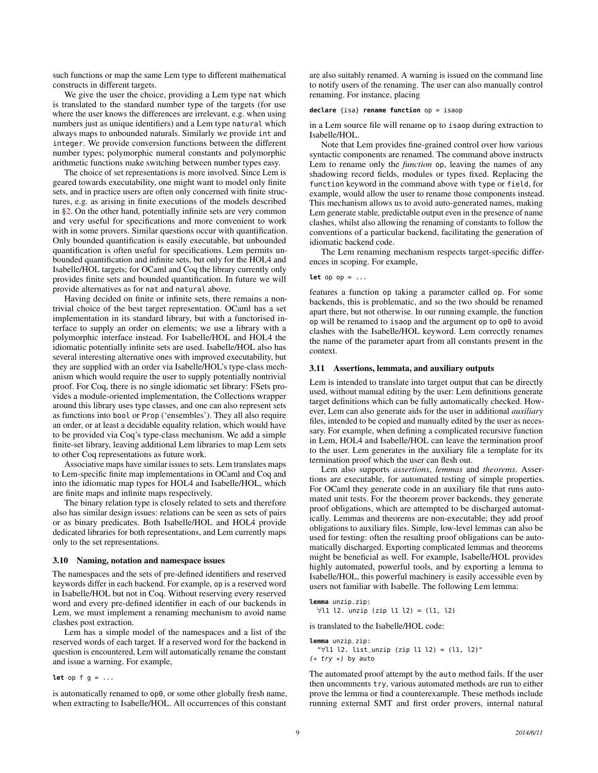such functions or map the same Lem type to different mathematical constructs in different targets.

We give the user the choice, providing a Lem type nat which is translated to the standard number type of the targets (for use where the user knows the differences are irrelevant, e.g. when using numbers just as unique identifiers) and a Lem type natural which always maps to unbounded naturals. Similarly we provide int and integer. We provide conversion functions between the different number types; polymorphic numeral constants and polymorphic arithmetic functions make switching between number types easy.

The choice of set representations is more involved. Since Lem is geared towards executability, one might want to model only finite sets, and in practice users are often only concerned with finite structures, e.g. as arising in finite executions of the models described in [§2.](#page-2-0) On the other hand, potentially infinite sets are very common and very useful for specifications and more convenient to work with in some provers. Similar questions occur with quantification. Only bounded quantification is easily executable, but unbounded quantification is often useful for specifications. Lem permits unbounded quantification and infinite sets, but only for the HOL4 and Isabelle/HOL targets; for OCaml and Coq the library currently only provides finite sets and bounded quantification. In future we will provide alternatives as for nat and natural above.

Having decided on finite or infinite sets, there remains a nontrivial choice of the best target representation. OCaml has a set implementation in its standard library, but with a functorised interface to supply an order on elements; we use a library with a polymorphic interface instead. For Isabelle/HOL and HOL4 the idiomatic potentially infinite sets are used. Isabelle/HOL also has several interesting alternative ones with improved executability, but they are supplied with an order via Isabelle/HOL's type-class mechanism which would require the user to supply potentially nontrivial proof. For Coq, there is no single idiomatic set library: FSets provides a module-oriented implementation, the Collections wrapper around this library uses type classes, and one can also represent sets as functions into bool or Prop ('ensembles'). They all also require an order, or at least a decidable equality relation, which would have to be provided via Coq's type-class mechanism. We add a simple finite-set library, leaving additional Lem libraries to map Lem sets to other Coq representations as future work.

Associative maps have similar issues to sets. Lem translates maps to Lem-specific finite map implementations in OCaml and Coq and into the idiomatic map types for HOL4 and Isabelle/HOL, which are finite maps and infinite maps respectively.

The binary relation type is closely related to sets and therefore also has similar design issues: relations can be seen as sets of pairs or as binary predicates. Both Isabelle/HOL and HOL4 provide dedicated libraries for both representations, and Lem currently maps only to the set representations.

#### 3.10 Naming, notation and namespace issues

The namespaces and the sets of pre-defined identifiers and reserved keywords differ in each backend. For example, op is a reserved word in Isabelle/HOL but not in Coq. Without reserving every reserved word and every pre-defined identifier in each of our backends in Lem, we must implement a renaming mechanism to avoid name clashes post extraction.

Lem has a simple model of the namespaces and a list of the reserved words of each target. If a reserved word for the backend in question is encountered, Lem will automatically rename the constant and issue a warning. For example,

**let** op  $f$   $g = \ldots$ 

is automatically renamed to op0, or some other globally fresh name, when extracting to Isabelle/HOL. All occurrences of this constant are also suitably renamed. A warning is issued on the command line to notify users of the renaming. The user can also manually control renaming. For instance, placing

#### **declare** {isa} **rename function** op = isaop

in a Lem source file will rename op to isaop during extraction to Isabelle/HOL.

Note that Lem provides fine-grained control over how various syntactic components are renamed. The command above instructs Lem to rename only the *function* op, leaving the names of any shadowing record fields, modules or types fixed. Replacing the function keyword in the command above with type or field, for example, would allow the user to rename those components instead. This mechanism allows us to avoid auto-generated names, making Lem generate stable, predictable output even in the presence of name clashes, whilst also allowing the renaming of constants to follow the conventions of a particular backend, facilitating the generation of idiomatic backend code.

The Lem renaming mechanism respects target-specific differences in scoping. For example,

#### $let op op = ...$

features a function op taking a parameter called op. For some backends, this is problematic, and so the two should be renamed apart there, but not otherwise. In our running example, the function op will be renamed to isaop and the argument op to op0 to avoid clashes with the Isabelle/HOL keyword. Lem correctly renames the name of the parameter apart from all constants present in the context.

#### <span id="page-8-0"></span>3.11 Assertions, lemmata, and auxiliary outputs

Lem is intended to translate into target output that can be directly used, without manual editing by the user: Lem definitions generate target definitions which can be fully automatically checked. However, Lem can also generate aids for the user in additional *auxiliary* files, intended to be copied and manually edited by the user as necessary. For example, when defining a complicated recursive function in Lem, HOL4 and Isabelle/HOL can leave the termination proof to the user. Lem generates in the auxiliary file a template for its termination proof which the user can flesh out.

Lem also supports *assertions*, *lemmas* and *theorems*. Assertions are executable, for automated testing of simple properties. For OCaml they generate code in an auxiliary file that runs automated unit tests. For the theorem prover backends, they generate proof obligations, which are attempted to be discharged automatically. Lemmas and theorems are non-executable; they add proof obligations to auxiliary files. Simple, low-level lemmas can also be used for testing: often the resulting proof obligations can be automatically discharged. Exporting complicated lemmas and theorems might be beneficial as well. For example, Isabelle/HOL provides highly automated, powerful tools, and by exporting a lemma to Isabelle/HOL, this powerful machinery is easily accessible even by users not familiar with Isabelle. The following Lem lemma:

**lemma** unzip\_zip: ∀l1 l2. unzip (zip l1 l2) = (l1, l2)

is translated to the Isabelle/HOL code:

**lemma** unzip\_zip:

"∀l1 l2. list\_unzip (zip l1 l2) = (l1, l2)"  $(*$  try  $*)$  by auto

The automated proof attempt by the auto method fails. If the user then uncomments try, various automated methods are run to either prove the lemma or find a counterexample. These methods include running external SMT and first order provers, internal natural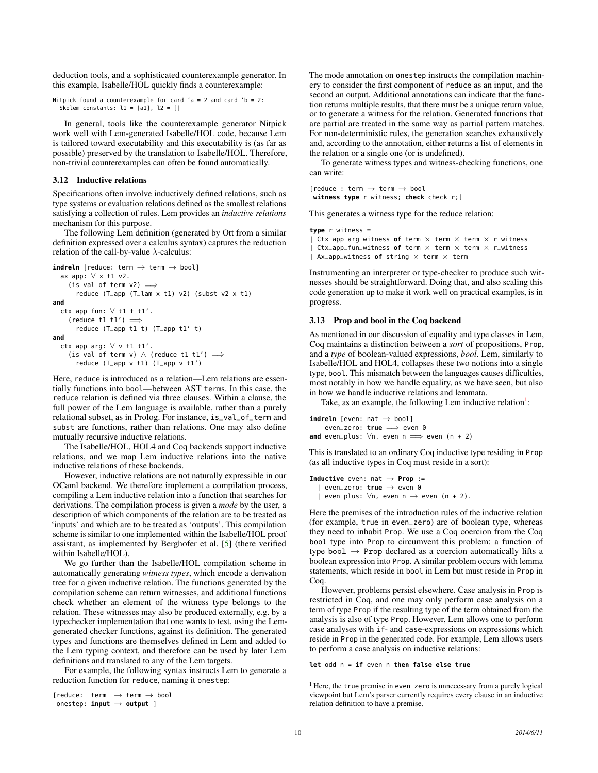deduction tools, and a sophisticated counterexample generator. In this example, Isabelle/HOL quickly finds a counterexample:

```
Nitpick found a counterexample for card 'a = 2 and card 'b = 2:
 Skolem constants: l1 = [a1], l2 = []
```
In general, tools like the counterexample generator Nitpick work well with Lem-generated Isabelle/HOL code, because Lem is tailored toward executability and this executability is (as far as possible) preserved by the translation to Isabelle/HOL. Therefore, non-trivial counterexamples can often be found automatically.

# 3.12 Inductive relations

Specifications often involve inductively defined relations, such as type systems or evaluation relations defined as the smallest relations satisfying a collection of rules. Lem provides an *inductive relations* mechanism for this purpose.

The following Lem definition (generated by Ott from a similar definition expressed over a calculus syntax) captures the reduction relation of the call-by-value  $\lambda$ -calculus:

```
indreln [reduce: term \rightarrow term \rightarrow bool]
  ax_app: \forall x t1 v2.
    (is_val_of_term v2) \impliesreduce (T_app (T_lam x t1) v2) (subst v2 x t1)
and
  ctx_app_fun: ∀ t1 t t1'.
    (reduce t1 t1') \impliesreduce (T_app t1 t) (T_app t1' t)
and
  ctx_app_arg: ∀ v t1 t1'.
    (is_val_of_term v) \wedge (reduce t1 t1') \impliesreduce (T_aapp v t1) (T_aapp v t1')
```
Here, reduce is introduced as a relation—Lem relations are essentially functions into bool—between AST terms. In this case, the reduce relation is defined via three clauses. Within a clause, the full power of the Lem language is available, rather than a purely relational subset, as in Prolog. For instance, is\_val\_of\_term and subst are functions, rather than relations. One may also define mutually recursive inductive relations.

The Isabelle/HOL, HOL4 and Coq backends support inductive relations, and we map Lem inductive relations into the native inductive relations of these backends.

However, inductive relations are not naturally expressible in our OCaml backend. We therefore implement a compilation process, compiling a Lem inductive relation into a function that searches for derivations. The compilation process is given a *mode* by the user, a description of which components of the relation are to be treated as 'inputs' and which are to be treated as 'outputs'. This compilation scheme is similar to one implemented within the Isabelle/HOL proof assistant, as implemented by Berghofer et al. [\[5\]](#page-12-8) (there verified within Isabelle/HOL).

We go further than the Isabelle/HOL compilation scheme in automatically generating *witness types*, which encode a derivation tree for a given inductive relation. The functions generated by the compilation scheme can return witnesses, and additional functions check whether an element of the witness type belongs to the relation. These witnesses may also be produced externally, e.g. by a typechecker implementation that one wants to test, using the Lemgenerated checker functions, against its definition. The generated types and functions are themselves defined in Lem and added to the Lem typing context, and therefore can be used by later Lem definitions and translated to any of the Lem targets.

For example, the following syntax instructs Lem to generate a reduction function for reduce, naming it onestep:

[reduce: term  $\rightarrow$  term  $\rightarrow$  bool onestep: **input** → **output** ]

The mode annotation on onestep instructs the compilation machinery to consider the first component of reduce as an input, and the second an output. Additional annotations can indicate that the function returns multiple results, that there must be a unique return value, or to generate a witness for the relation. Generated functions that are partial are treated in the same way as partial pattern matches. For non-deterministic rules, the generation searches exhaustively and, according to the annotation, either returns a list of elements in the relation or a single one (or is undefined).

To generate witness types and witness-checking functions, one can write:

[reduce : term  $\rightarrow$  term  $\rightarrow$  bool **witness type** r\_witness; **check** check\_r;]

This generates a witness type for the reduce relation:

```
type r_witness =
| Ctx_app_arg_witness of term × term × term × r_witness
| Ctx_app_fun_witness of term × term × term × r_witness
| Ax_app_witness of string × term × term
```
Instrumenting an interpreter or type-checker to produce such witnesses should be straightforward. Doing that, and also scaling this code generation up to make it work well on practical examples, is in progress.

### <span id="page-9-0"></span>3.13 Prop and bool in the Coq backend

As mentioned in our discussion of equality and type classes in Lem, Coq maintains a distinction between a *sort* of propositions, Prop, and a *type* of boolean-valued expressions, *bool*. Lem, similarly to Isabelle/HOL and HOL4, collapses these two notions into a single type, bool. This mismatch between the languages causes difficulties, most notably in how we handle equality, as we have seen, but also in how we handle inductive relations and lemmata.

Take, as an example, the following Lem inductive relation $<sup>1</sup>$  $<sup>1</sup>$  $<sup>1</sup>$ :</sup>

**indreln** [even: nat → bool] even\_zero: true = even 0 **and** even\_plus:  $\forall n$ . even  $n \implies$  even  $(n + 2)$ 

This is translated to an ordinary Coq inductive type residing in Prop (as all inductive types in Coq must reside in a sort):

```
Inductive even: nat → Prop :=
  | even_zero: true → even 0
  | even_plus: \forall n, even n \rightarrow even (n + 2).
```
Here the premises of the introduction rules of the inductive relation (for example, true in even\_zero) are of boolean type, whereas they need to inhabit Prop. We use a Coq coercion from the Coq bool type into Prop to circumvent this problem: a function of type bool  $\rightarrow$  Prop declared as a coercion automatically lifts a boolean expression into Prop. A similar problem occurs with lemma statements, which reside in bool in Lem but must reside in Prop in Coq.

However, problems persist elsewhere. Case analysis in Prop is restricted in Coq, and one may only perform case analysis on a term of type Prop if the resulting type of the term obtained from the analysis is also of type Prop. However, Lem allows one to perform case analyses with if- and case-expressions on expressions which reside in Prop in the generated code. For example, Lem allows users to perform a case analysis on inductive relations:

**let** odd n = **if** even n **then false else true**

<span id="page-9-1"></span><sup>&</sup>lt;sup>1</sup> Here, the true premise in even\_zero is unnecessary from a purely logical viewpoint but Lem's parser currently requires every clause in an inductive relation definition to have a premise.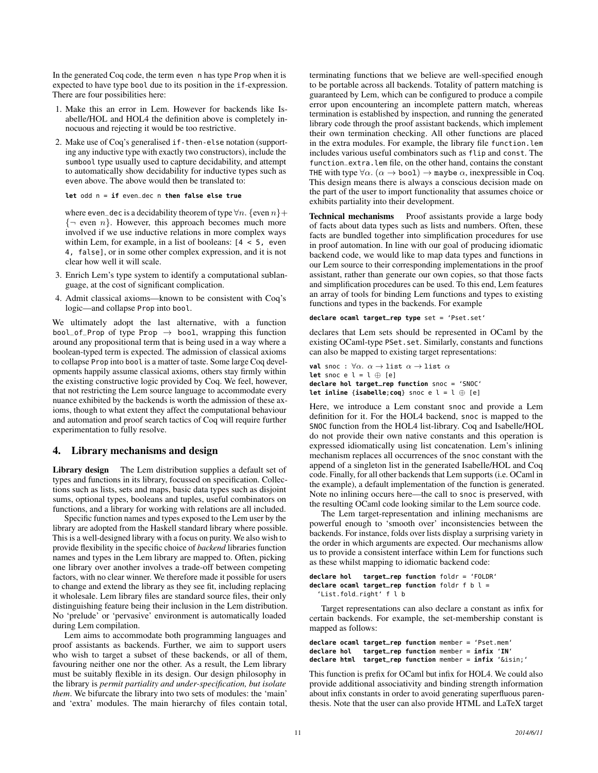In the generated Coq code, the term even n has type Prop when it is expected to have type bool due to its position in the if-expression. There are four possibilities here:

- 1. Make this an error in Lem. However for backends like Isabelle/HOL and HOL4 the definition above is completely innocuous and rejecting it would be too restrictive.
- 2. Make use of Coq's generalised if-then-else notation (supporting any inductive type with exactly two constructors), include the sumbool type usually used to capture decidability, and attempt to automatically show decidability for inductive types such as even above. The above would then be translated to:

**let** odd n = **if** even\_dec n **then false else true**

where even\_dec is a decidability theorem of type  $\forall n$ . {even  $n$  } +  $\{\neg \text{ even } n\}$ . However, this approach becomes much more involved if we use inductive relations in more complex ways within Lem, for example, in a list of booleans: [4 < 5, even 4, false], or in some other complex expression, and it is not clear how well it will scale.

- 3. Enrich Lem's type system to identify a computational sublanguage, at the cost of significant complication.
- 4. Admit classical axioms—known to be consistent with Coq's logic—and collapse Prop into bool.

We ultimately adopt the last alternative, with a function bool\_of\_Prop of type Prop  $\rightarrow$  bool, wrapping this function around any propositional term that is being used in a way where a boolean-typed term is expected. The admission of classical axioms to collapse Prop into bool is a matter of taste. Some large Coq developments happily assume classical axioms, others stay firmly within the existing constructive logic provided by Coq. We feel, however, that not restricting the Lem source language to accommodate every nuance exhibited by the backends is worth the admission of these axioms, though to what extent they affect the computational behaviour and automation and proof search tactics of Coq will require further experimentation to fully resolve.

# <span id="page-10-0"></span>4. Library mechanisms and design

Library design The Lem distribution supplies a default set of types and functions in its library, focussed on specification. Collections such as lists, sets and maps, basic data types such as disjoint sums, optional types, booleans and tuples, useful combinators on functions, and a library for working with relations are all included.

Specific function names and types exposed to the Lem user by the library are adopted from the Haskell standard library where possible. This is a well-designed library with a focus on purity. We also wish to provide flexibility in the specific choice of *backend* libraries function names and types in the Lem library are mapped to. Often, picking one library over another involves a trade-off between competing factors, with no clear winner. We therefore made it possible for users to change and extend the library as they see fit, including replacing it wholesale. Lem library files are standard source files, their only distinguishing feature being their inclusion in the Lem distribution. No 'prelude' or 'pervasive' environment is automatically loaded during Lem compilation.

Lem aims to accommodate both programming languages and proof assistants as backends. Further, we aim to support users who wish to target a subset of these backends, or all of them, favouring neither one nor the other. As a result, the Lem library must be suitably flexible in its design. Our design philosophy in the library is *permit partiality and under-specification, but isolate them*. We bifurcate the library into two sets of modules: the 'main' and 'extra' modules. The main hierarchy of files contain total, terminating functions that we believe are well-specified enough to be portable across all backends. Totality of pattern matching is guaranteed by Lem, which can be configured to produce a compile error upon encountering an incomplete pattern match, whereas termination is established by inspection, and running the generated library code through the proof assistant backends, which implement their own termination checking. All other functions are placed in the extra modules. For example, the library file function.lem includes various useful combinators such as flip and const. The function\_extra.lem file, on the other hand, contains the constant THE with type  $\forall \alpha$ .  $(\alpha \rightarrow \text{bool}) \rightarrow \text{maybe } \alpha$ , inexpressible in Coq. This design means there is always a conscious decision made on the part of the user to import functionality that assumes choice or exhibits partiality into their development.

Technical mechanisms Proof assistants provide a large body of facts about data types such as lists and numbers. Often, these facts are bundled together into simplification procedures for use in proof automation. In line with our goal of producing idiomatic backend code, we would like to map data types and functions in our Lem source to their corresponding implementations in the proof assistant, rather than generate our own copies, so that those facts and simplification procedures can be used. To this end, Lem features an array of tools for binding Lem functions and types to existing functions and types in the backends. For example

**declare ocaml target\_rep type** set = 'Pset.set'

declares that Lem sets should be represented in OCaml by the existing OCaml-type PSet.set. Similarly, constants and functions can also be mapped to existing target representations:

```
val snoc : \forall \alpha. \alpha \rightarrow list \alpha \rightarrow list \alphalet snoc e l = l \oplus [el]declare hol target_rep function snoc = 'SNOC'
let inline {isabelle;coq} snoc e l = l ⊕ [e]
```
Here, we introduce a Lem constant snoc and provide a Lem definition for it. For the HOL4 backend, snoc is mapped to the SNOC function from the HOL4 list-library. Coq and Isabelle/HOL do not provide their own native constants and this operation is expressed idiomatically using list concatenation. Lem's inlining mechanism replaces all occurrences of the snoc constant with the append of a singleton list in the generated Isabelle/HOL and Coq code. Finally, for all other backends that Lem supports (i.e. OCaml in the example), a default implementation of the function is generated. Note no inlining occurs here—the call to snoc is preserved, with the resulting OCaml code looking similar to the Lem source code.

The Lem target-representation and inlining mechanisms are powerful enough to 'smooth over' inconsistencies between the backends. For instance, folds over lists display a surprising variety in the order in which arguments are expected. Our mechanisms allow us to provide a consistent interface within Lem for functions such as these whilst mapping to idiomatic backend code:

```
declare hol target_rep function foldr = 'FOLDR'
declare ocaml target_rep function foldr f b l =
  'List.fold_right' f l b
```
Target representations can also declare a constant as infix for certain backends. For example, the set-membership constant is mapped as follows:

```
declare ocaml target_rep function member = 'Pset.mem'
declare hol target_rep function member = infix 'IN'
declare html target_rep function member = infix '∈'
```
This function is prefix for OCaml but infix for HOL4. We could also provide additional associativity and binding strength information about infix constants in order to avoid generating superfluous parenthesis. Note that the user can also provide HTML and LaTeX target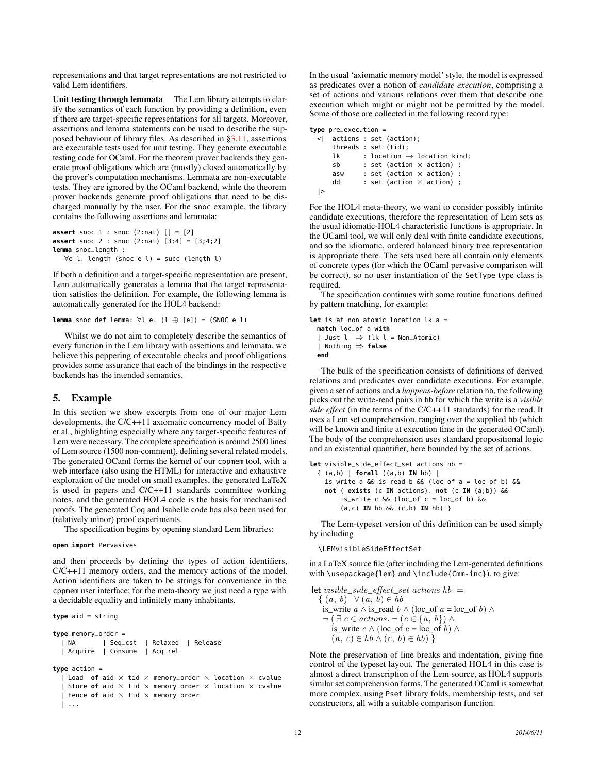representations and that target representations are not restricted to valid Lem identifiers.

Unit testing through lemmata The Lem library attempts to clarify the semantics of each function by providing a definition, even if there are target-specific representations for all targets. Moreover, assertions and lemma statements can be used to describe the supposed behaviour of library files. As described in [§3.11,](#page-8-0) assertions are executable tests used for unit testing. They generate executable testing code for OCaml. For the theorem prover backends they generate proof obligations which are (mostly) closed automatically by the prover's computation mechanisms. Lemmata are non-executable tests. They are ignored by the OCaml backend, while the theorem prover backends generate proof obligations that need to be discharged manually by the user. For the snoc example, the library contains the following assertions and lemmata:

```
assert snoc_1 : snoc (2:nat) [] = [2]
assert snoc_2 : snoc (2:nat) [3;4] = [3;4;2]
lemma snoc_length :
   \foralle l. length (snoc e l) = succ (length l)
```
If both a definition and a target-specific representation are present, Lem automatically generates a lemma that the target representation satisfies the definition. For example, the following lemma is automatically generated for the HOL4 backend:

**lemma** snoc\_def\_lemma:  $\forall l$  e.  $(l \oplus [e]) = (SNOC e l)$ 

Whilst we do not aim to completely describe the semantics of every function in the Lem library with assertions and lemmata, we believe this peppering of executable checks and proof obligations provides some assurance that each of the bindings in the respective backends has the intended semantics.

#### <span id="page-11-0"></span>5. Example

In this section we show excerpts from one of our major Lem developments, the C/C++11 axiomatic concurrency model of Batty et al., highlighting especially where any target-specific features of Lem were necessary. The complete specification is around 2500 lines of Lem source (1500 non-comment), defining several related models. The generated OCaml forms the kernel of our cppmem tool, with a web interface (also using the HTML) for interactive and exhaustive exploration of the model on small examples, the generated LaTeX is used in papers and C/C++11 standards committee working notes, and the generated HOL4 code is the basis for mechanised proofs. The generated Coq and Isabelle code has also been used for (relatively minor) proof experiments.

The specification begins by opening standard Lem libraries:

**open import** Pervasives

**type** aid = string

and then proceeds by defining the types of action identifiers, C/C++11 memory orders, and the memory actions of the model. Action identifiers are taken to be strings for convenience in the cppmem user interface; for the meta-theory we just need a type with a decidable equality and infinitely many inhabitants.

```
type memory_order =
  | NA | Seq_cst | Relaxed | Release
  | Acquire | Consume | Acq_rel
type action =
  | Load of aid \times tid \times memory_order \times location \times cvalue
    Store of aid \times tid \times memory_order \times location \times cvalue
    Fence of aid \times tid \times memory_order
  | ...
```
In the usual 'axiomatic memory model' style, the model is expressed as predicates over a notion of *candidate execution*, comprising a set of actions and various relations over them that describe one execution which might or might not be permitted by the model. Some of those are collected in the following record type:

```
type pre_execution =
  <| actions : set (action);
      threads : set (tid);
      lk : location \rightarrow location_kind;
      sb : set (action \times action) ;
      asw : set (action \times action) :
      dd : set (action \times action) ;
  |>
```
For the HOL4 meta-theory, we want to consider possibly infinite candidate executions, therefore the representation of Lem sets as the usual idiomatic-HOL4 characteristic functions is appropriate. In the OCaml tool, we will only deal with finite candidate executions, and so the idiomatic, ordered balanced binary tree representation is appropriate there. The sets used here all contain only elements of concrete types (for which the OCaml pervasive comparison will be correct), so no user instantiation of the SetType type class is required.

The specification continues with some routine functions defined by pattern matching, for example:

```
let is_at_non_atomic_location lk a =
  match loc_of a with
  | Just l \Rightarrow (lk l = \text{Non\_Atomic})
  | Nothing ⇒ false
  end
```
The bulk of the specification consists of definitions of derived relations and predicates over candidate executions. For example, given a set of actions and a *happens-before* relation hb, the following picks out the write-read pairs in hb for which the write is a *visible side effect* (in the terms of the C/C++11 standards) for the read. It uses a Lem set comprehension, ranging over the supplied hb (which will be known and finite at execution time in the generated OCaml). The body of the comprehension uses standard propositional logic and an existential quantifier, here bounded by the set of actions.

```
let visible_side_effect_set actions hb =
 { (a,b) | forall ((a,b) IN hb) |
    is_write a && is_read b && (loc_of a = loc_of b) &&
    not ( exists (c IN actions). not (c IN {a;b}) &&
        is_write c && (loc_of c = loc_of b) &&
        (a,c) IN hb && (c,b) IN hb) }
```
The Lem-typeset version of this definition can be used simply by including

#### \LEMvisibleSideEffectSet

in a LaTeX source file (after including the Lem-generated definitions with \usepackage{lem} and \include{Cmm-inc}), to give:

```
let visible_side_effect_set actions hb =\{ (a, b) \mid \forall (a, b) \in hb \}is_write a \wedge is_read b \wedge (loc_of a = loc_of b) \wedge\neg(\exists c \in actions. \neg(c \in \{a, b\}) \wedgeis_write c \wedge (\text{loc of } c = \text{loc of } b) \wedge(a, c) \in hb \wedge (c, b) \in hb)
```
Note the preservation of line breaks and indentation, giving fine control of the typeset layout. The generated HOL4 in this case is almost a direct transcription of the Lem source, as HOL4 supports similar set comprehension forms. The generated OCaml is somewhat more complex, using Pset library folds, membership tests, and set constructors, all with a suitable comparison function.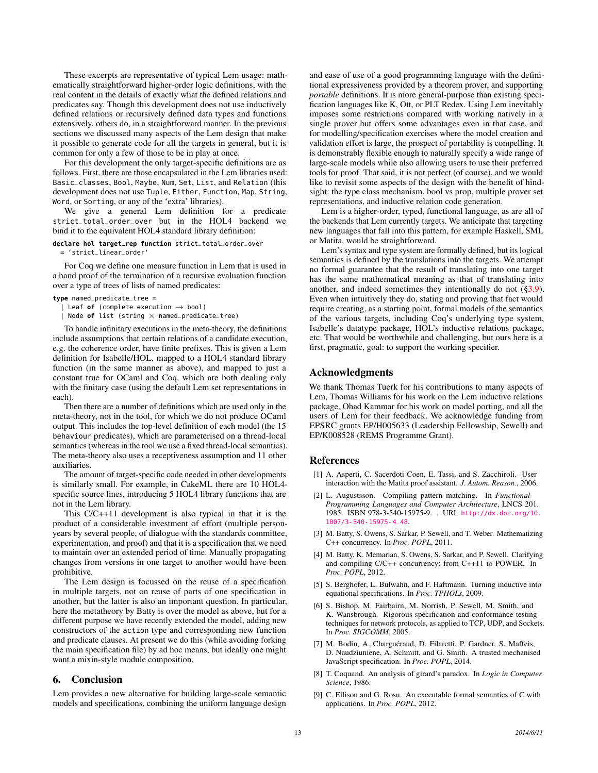These excerpts are representative of typical Lem usage: mathematically straightforward higher-order logic definitions, with the real content in the details of exactly what the defined relations and predicates say. Though this development does not use inductively defined relations or recursively defined data types and functions extensively, others do, in a straightforward manner. In the previous sections we discussed many aspects of the Lem design that make it possible to generate code for all the targets in general, but it is common for only a few of those to be in play at once.

For this development the only target-specific definitions are as follows. First, there are those encapsulated in the Lem libraries used: Basic\_classes, Bool, Maybe, Num, Set, List, and Relation (this development does not use Tuple, Either, Function, Map, String, Word, or Sorting, or any of the 'extra' libraries).

We give a general Lem definition for a predicate strict\_total\_order\_over but in the HOL4 backend we bind it to the equivalent HOL4 standard library definition:

**declare hol target\_rep function** strict\_total\_order\_over = 'strict\_linear\_order'

For Coq we define one measure function in Lem that is used in a hand proof of the termination of a recursive evaluation function over a type of trees of lists of named predicates:

**type** named\_predicate\_tree =

| Leaf  $of$  (complete\_execution  $\rightarrow$  bool)

| Node **of** list (string × named\_predicate\_tree)

To handle infinitary executions in the meta-theory, the definitions include assumptions that certain relations of a candidate execution, e.g. the coherence order, have finite prefixes. This is given a Lem definition for Isabelle/HOL, mapped to a HOL4 standard library function (in the same manner as above), and mapped to just a constant true for OCaml and Coq, which are both dealing only with the finitary case (using the default Lem set representations in each).

Then there are a number of definitions which are used only in the meta-theory, not in the tool, for which we do not produce OCaml output. This includes the top-level definition of each model (the 15 behaviour predicates), which are parameterised on a thread-local semantics (whereas in the tool we use a fixed thread-local semantics). The meta-theory also uses a receptiveness assumption and 11 other auxiliaries.

The amount of target-specific code needed in other developments is similarly small. For example, in CakeML there are 10 HOL4 specific source lines, introducing 5 HOL4 library functions that are not in the Lem library.

This C/C++11 development is also typical in that it is the product of a considerable investment of effort (multiple personyears by several people, of dialogue with the standards committee, experimentation, and proof) and that it is a specification that we need to maintain over an extended period of time. Manually propagating changes from versions in one target to another would have been prohibitive.

The Lem design is focussed on the reuse of a specification in multiple targets, not on reuse of parts of one specification in another, but the latter is also an important question. In particular, here the metatheory by Batty is over the model as above, but for a different purpose we have recently extended the model, adding new constructors of the action type and corresponding new function and predicate clauses. At present we do this (while avoiding forking the main specification file) by ad hoc means, but ideally one might want a mixin-style module composition.

#### 6. Conclusion

Lem provides a new alternative for building large-scale semantic models and specifications, combining the uniform language design and ease of use of a good programming language with the definitional expressiveness provided by a theorem prover, and supporting *portable* definitions. It is more general-purpose than existing specification languages like K, Ott, or PLT Redex. Using Lem inevitably imposes some restrictions compared with working natively in a single prover but offers some advantages even in that case, and for modelling/specification exercises where the model creation and validation effort is large, the prospect of portability is compelling. It is demonstrably flexible enough to naturally specify a wide range of large-scale models while also allowing users to use their preferred tools for proof. That said, it is not perfect (of course), and we would like to revisit some aspects of the design with the benefit of hindsight: the type class mechanism, bool vs prop, multiple prover set representations, and inductive relation code generation.

Lem is a higher-order, typed, functional language, as are all of the backends that Lem currently targets. We anticipate that targeting new languages that fall into this pattern, for example Haskell, SML or Matita, would be straightforward.

Lem's syntax and type system are formally defined, but its logical semantics is defined by the translations into the targets. We attempt no formal guarantee that the result of translating into one target has the same mathematical meaning as that of translating into another, and indeed sometimes they intentionally do not ([§3.9\)](#page-7-0). Even when intuitively they do, stating and proving that fact would require creating, as a starting point, formal models of the semantics of the various targets, including Coq's underlying type system, Isabelle's datatype package, HOL's inductive relations package, etc. That would be worthwhile and challenging, but ours here is a first, pragmatic, goal: to support the working specifier.

### Acknowledgments

We thank Thomas Tuerk for his contributions to many aspects of Lem, Thomas Williams for his work on the Lem inductive relations package, Ohad Kammar for his work on model porting, and all the users of Lem for their feedback. We acknowledge funding from EPSRC grants EP/H005633 (Leadership Fellowship, Sewell) and EP/K008528 (REMS Programme Grant).

### References

- <span id="page-12-4"></span>[1] A. Asperti, C. Sacerdoti Coen, E. Tassi, and S. Zacchiroli. User interaction with the Matita proof assistant. *J. Autom. Reason.*, 2006.
- <span id="page-12-7"></span>[2] L. Augustsson. Compiling pattern matching. In *Functional Programming Languages and Computer Architecture*, LNCS 201. 1985. ISBN 978-3-540-15975-9. . URL [http://dx.doi.org/10.](http://dx.doi.org/10.1007/3-540-15975-4_48) [1007/3-540-15975-4\\_48](http://dx.doi.org/10.1007/3-540-15975-4_48).
- <span id="page-12-3"></span>[3] M. Batty, S. Owens, S. Sarkar, P. Sewell, and T. Weber. Mathematizing C++ concurrency. In *Proc. POPL*, 2011.
- <span id="page-12-5"></span>[4] M. Batty, K. Memarian, S. Owens, S. Sarkar, and P. Sewell. Clarifying and compiling C/C++ concurrency: from C++11 to POWER. In *Proc. POPL*, 2012.
- <span id="page-12-8"></span>[5] S. Berghofer, L. Bulwahn, and F. Haftmann. Turning inductive into equational specifications. In *Proc. TPHOLs*, 2009.
- <span id="page-12-0"></span>[6] S. Bishop, M. Fairbairn, M. Norrish, P. Sewell, M. Smith, and K. Wansbrough. Rigorous specification and conformance testing techniques for network protocols, as applied to TCP, UDP, and Sockets. In *Proc. SIGCOMM*, 2005.
- <span id="page-12-1"></span>[7] M. Bodin, A. Charguéraud, D. Filaretti, P. Gardner, S. Maffeis, D. Naudziuniene, A. Schmitt, and G. Smith. A trusted mechanised JavaScript specification. In *Proc. POPL*, 2014.
- <span id="page-12-6"></span>[8] T. Coquand. An analysis of girard's paradox. In *Logic in Computer Science*, 1986.
- <span id="page-12-2"></span>[9] C. Ellison and G. Rosu. An executable formal semantics of C with applications. In *Proc. POPL*, 2012.